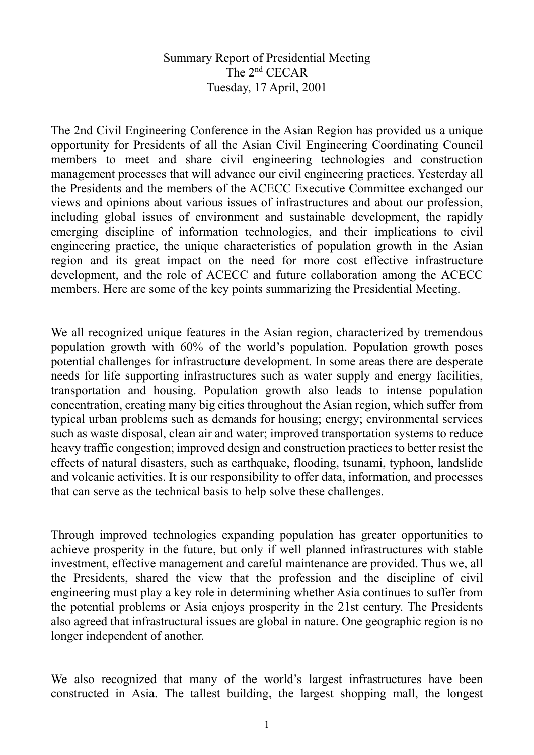Summary Report of Presidential Meeting The 2nd CECAR Tuesday, 17 April, 2001

The 2nd Civil Engineering Conference in the Asian Region has provided us a unique opportunity for Presidents of all the Asian Civil Engineering Coordinating Council members to meet and share civil engineering technologies and construction management processes that will advance our civil engineering practices. Yesterday all the Presidents and the members of the ACECC Executive Committee exchanged our views and opinions about various issues of infrastructures and about our profession, including global issues of environment and sustainable development, the rapidly emerging discipline of information technologies, and their implications to civil engineering practice, the unique characteristics of population growth in the Asian region and its great impact on the need for more cost effective infrastructure development, and the role of ACECC and future collaboration among the ACECC members. Here are some of the key points summarizing the Presidential Meeting.

We all recognized unique features in the Asian region, characterized by tremendous population growth with 60% of the world's population. Population growth poses potential challenges for infrastructure development. In some areas there are desperate needs for life supporting infrastructures such as water supply and energy facilities, transportation and housing. Population growth also leads to intense population concentration, creating many big cities throughout the Asian region, which suffer from typical urban problems such as demands for housing; energy; environmental services such as waste disposal, clean air and water; improved transportation systems to reduce heavy traffic congestion; improved design and construction practices to better resist the effects of natural disasters, such as earthquake, flooding, tsunami, typhoon, landslide and volcanic activities. It is our responsibility to offer data, information, and processes that can serve as the technical basis to help solve these challenges.

Through improved technologies expanding population has greater opportunities to achieve prosperity in the future, but only if well planned infrastructures with stable investment, effective management and careful maintenance are provided. Thus we, all the Presidents, shared the view that the profession and the discipline of civil engineering must play a key role in determining whether Asia continues to suffer from the potential problems or Asia enjoys prosperity in the 21st century. The Presidents also agreed that infrastructural issues are global in nature. One geographic region is no longer independent of another.

We also recognized that many of the world's largest infrastructures have been constructed in Asia. The tallest building, the largest shopping mall, the longest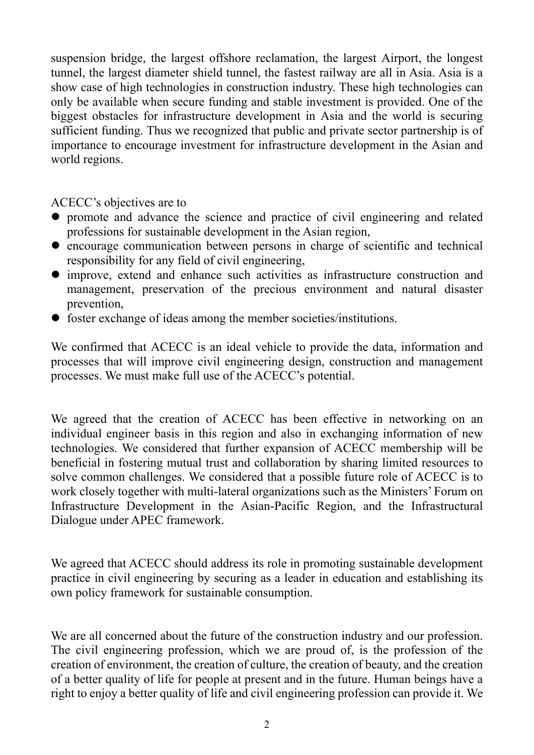suspension bridge, the largest offshore reclamation, the largest Airport, the longest tunnel, the largest diameter shield tunnel, the fastest railway are all in Asia. Asia is a show case of high technologies in construction industry. These high technologies can only be available when secure funding and stable investment is provided. One of the biggest obstacles for infrastructure development in Asia and the world is securing sufficient funding. Thus we recognized that public and private sector partnership is of importance to encourage investment for infrastructure development in the Asian and world regions.

ACECC's objectives are to

- promote and advance the science and practice of civil engineering and related professions for sustainable development in the Asian region,
- encourage communication between persons in charge of scientific and technical responsibility for any field of civil engineering,
- improve, extend and enhance such activities as infrastructure construction and management, preservation of the precious environment and natural disaster prevention,
- foster exchange of ideas among the member societies/institutions.

We confirmed that ACECC is an ideal vehicle to provide the data, information and processes that will improve civil engineering design, construction and management processes. We must make full use of the ACECC's potential.

We agreed that the creation of ACECC has been effective in networking on an individual engineer basis in this region and also in exchanging information of new technologies. We considered that further expansion of ACECC membership will be beneficial in fostering mutual trust and collaboration by sharing limited resources to solve common challenges. We considered that a possible future role of ACECC is to work closely together with multi-lateral organizations such as the Ministers' Forum on Infrastructure Development in the Asian-Pacific Region, and the Infrastructural Dialogue under APEC framework.

We agreed that ACECC should address its role in promoting sustainable development practice in civil engineering by securing as a leader in education and establishing its own policy framework for sustainable consumption.

We are all concerned about the future of the construction industry and our profession. The civil engineering profession, which we are proud of, is the profession of the creation of environment, the creation of culture, the creation of beauty, and the creation of a better quality of life for people at present and in the future. Human beings have a right to enjoy a better quality of life and civil engineering profession can provide it. We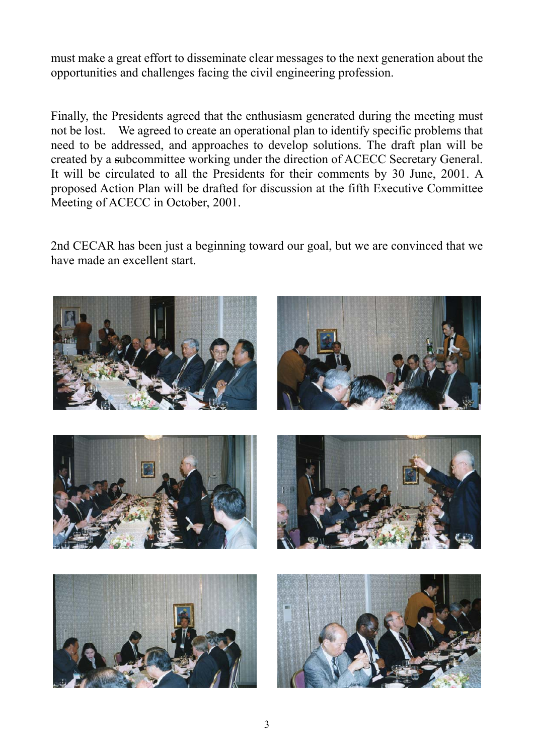must make a great effort to disseminate clear messages to the next generation about the opportunities and challenges facing the civil engineering profession.

Finally, the Presidents agreed that the enthusiasm generated during the meeting must not be lost. We agreed to create an operational plan to identify specific problems that need to be addressed, and approaches to develop solutions. The draft plan will be created by a subcommittee working under the direction of ACECC Secretary General. It will be circulated to all the Presidents for their comments by 30 June, 2001. A proposed Action Plan will be drafted for discussion at the fifth Executive Committee Meeting of ACECC in October, 2001.

2nd CECAR has been just a beginning toward our goal, but we are convinced that we have made an excellent start.

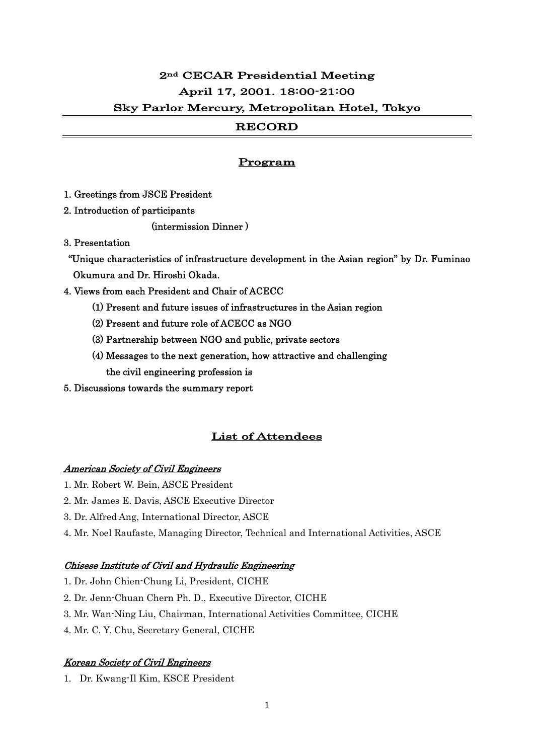# 2nd CECAR Presidential Meeting April 17, 2001. 18:00-21:00 Sky Parlor Mercury, Metropolitan Hotel, Tokyo

## RECORD

### Program

1. Greetings from JSCE President

2. Introduction of participants

(intermission Dinner )

3. Presentation

 "Unique characteristics of infrastructure development in the Asian region" by Dr. Fuminao Okumura and Dr. Hiroshi Okada.

- 4. Views from each President and Chair of ACECC
	- (1) Present and future issues of infrastructures in the Asian region
	- (2) Present and future role of ACECC as NGO
	- (3) Partnership between NGO and public, private sectors
	- (4) Messages to the next generation, how attractive and challenging the civil engineering profession is
- 5. Discussions towards the summary report

## List of Attendees

#### American Society of Civil Engineers

- 1. Mr. Robert W. Bein, ASCE President
- 2. Mr. James E. Davis, ASCE Executive Director
- 3. Dr. Alfred Ang, International Director, ASCE
- 4. Mr. Noel Raufaste, Managing Director, Technical and International Activities, ASCE

### Chisese Institute of Civil and Hydraulic Engineering

- 1. Dr. John Chien-Chung Li, President, CICHE
- 2. Dr. Jenn-Chuan Chern Ph. D., Executive Director, CICHE
- 3. Mr. Wan-Ning Liu, Chairman, International Activities Committee, CICHE
- 4. Mr. C. Y. Chu, Secretary General, CICHE

### Korean Society of Civil Engineers

1. Dr. Kwang-Il Kim, KSCE President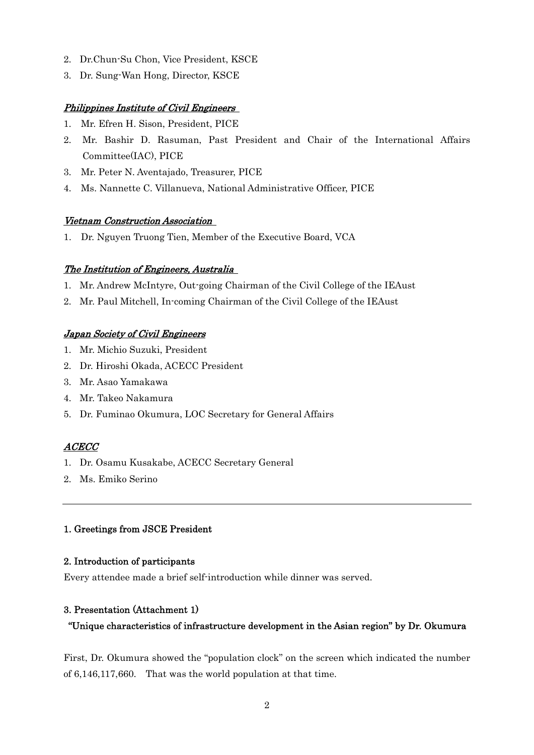- 2. Dr.Chun-Su Chon, Vice President, KSCE
- 3. Dr. Sung-Wan Hong, Director, KSCE

### Philippines Institute of Civil Engineers

- 1. Mr. Efren H. Sison, President, PICE
- 2. Mr. Bashir D. Rasuman, Past President and Chair of the International Affairs Committee(IAC), PICE
- 3. Mr. Peter N. Aventajado, Treasurer, PICE
- 4. Ms. Nannette C. Villanueva, National Administrative Officer, PICE

### Vietnam Construction Association

1. Dr. Nguyen Truong Tien, Member of the Executive Board, VCA

### The Institution of Engineers, Australia

- 1. Mr. Andrew McIntyre, Out-going Chairman of the Civil College of the IEAust
- 2. Mr. Paul Mitchell, In-coming Chairman of the Civil College of the IEAust

## Japan Society of Civil Engineers

- 1. Mr. Michio Suzuki, President
- 2. Dr. Hiroshi Okada, ACECC President
- 3. Mr. Asao Yamakawa
- 4. Mr. Takeo Nakamura
- 5. Dr. Fuminao Okumura, LOC Secretary for General Affairs

## ACECC

- 1. Dr. Osamu Kusakabe, ACECC Secretary General
- 2. Ms. Emiko Serino

### 1. Greetings from JSCE President

### 2. Introduction of participants

Every attendee made a brief self-introduction while dinner was served.

### 3. Presentation (Attachment 1)

### "Unique characteristics of infrastructure development in the Asian region" by Dr. Okumura

First, Dr. Okumura showed the "population clock" on the screen which indicated the number of 6,146,117,660. That was the world population at that time.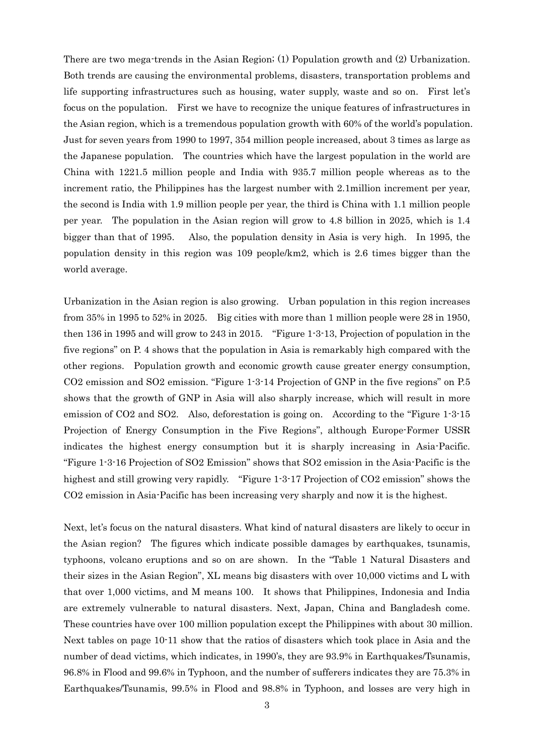There are two mega-trends in the Asian Region; (1) Population growth and (2) Urbanization. Both trends are causing the environmental problems, disasters, transportation problems and life supporting infrastructures such as housing, water supply, waste and so on. First let's focus on the population. First we have to recognize the unique features of infrastructures in the Asian region, which is a tremendous population growth with 60% of the world's population. Just for seven years from 1990 to 1997, 354 million people increased, about 3 times as large as the Japanese population. The countries which have the largest population in the world are China with 1221.5 million people and India with 935.7 million people whereas as to the increment ratio, the Philippines has the largest number with 2.1million increment per year, the second is India with 1.9 million people per year, the third is China with 1.1 million people per year. The population in the Asian region will grow to 4.8 billion in 2025, which is 1.4 bigger than that of 1995. Also, the population density in Asia is very high. In 1995, the population density in this region was 109 people/km2, which is 2.6 times bigger than the world average.

Urbanization in the Asian region is also growing. Urban population in this region increases from 35% in 1995 to 52% in 2025. Big cities with more than 1 million people were 28 in 1950, then 136 in 1995 and will grow to 243 in 2015. "Figure 1-3-13, Projection of population in the five regions" on P. 4 shows that the population in Asia is remarkably high compared with the other regions. Population growth and economic growth cause greater energy consumption, CO2 emission and SO2 emission. "Figure 1-3-14 Projection of GNP in the five regions" on P.5 shows that the growth of GNP in Asia will also sharply increase, which will result in more emission of CO2 and SO2. Also, deforestation is going on. According to the "Figure 1-3-15 Projection of Energy Consumption in the Five Regions", although Europe-Former USSR indicates the highest energy consumption but it is sharply increasing in Asia-Pacific. "Figure 1-3-16 Projection of SO2 Emission" shows that SO2 emission in the Asia-Pacific is the highest and still growing very rapidly. "Figure 1-3-17 Projection of CO2 emission" shows the CO2 emission in Asia-Pacific has been increasing very sharply and now it is the highest.

Next, let's focus on the natural disasters. What kind of natural disasters are likely to occur in the Asian region? The figures which indicate possible damages by earthquakes, tsunamis, typhoons, volcano eruptions and so on are shown. In the "Table 1 Natural Disasters and their sizes in the Asian Region", XL means big disasters with over 10,000 victims and L with that over 1,000 victims, and M means 100. It shows that Philippines, Indonesia and India are extremely vulnerable to natural disasters. Next, Japan, China and Bangladesh come. These countries have over 100 million population except the Philippines with about 30 million. Next tables on page 10-11 show that the ratios of disasters which took place in Asia and the number of dead victims, which indicates, in 1990's, they are 93.9% in Earthquakes/Tsunamis, 96.8% in Flood and 99.6% in Typhoon, and the number of sufferers indicates they are 75.3% in Earthquakes/Tsunamis, 99.5% in Flood and 98.8% in Typhoon, and losses are very high in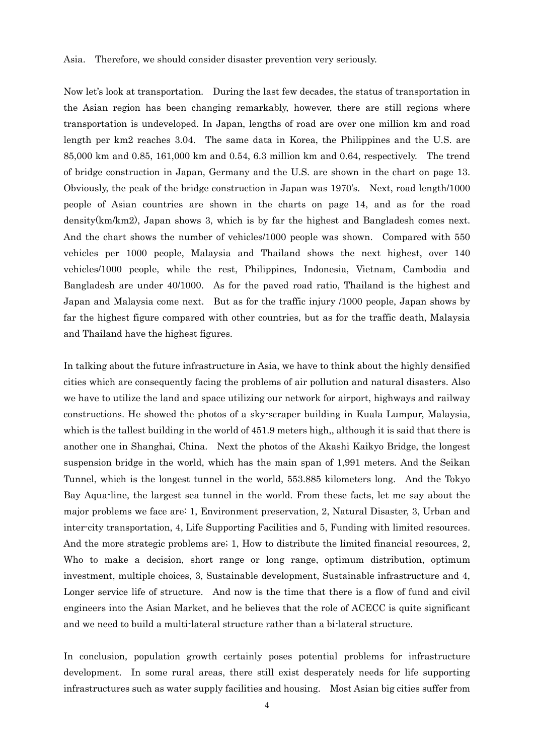#### Asia. Therefore, we should consider disaster prevention very seriously.

Now let's look at transportation. During the last few decades, the status of transportation in the Asian region has been changing remarkably, however, there are still regions where transportation is undeveloped. In Japan, lengths of road are over one million km and road length per km2 reaches 3.04. The same data in Korea, the Philippines and the U.S. are 85,000 km and 0.85, 161,000 km and 0.54, 6.3 million km and 0.64, respectively. The trend of bridge construction in Japan, Germany and the U.S. are shown in the chart on page 13. Obviously, the peak of the bridge construction in Japan was 1970's. Next, road length/1000 people of Asian countries are shown in the charts on page 14, and as for the road density(km/km2), Japan shows 3, which is by far the highest and Bangladesh comes next. And the chart shows the number of vehicles/1000 people was shown. Compared with 550 vehicles per 1000 people, Malaysia and Thailand shows the next highest, over 140 vehicles/1000 people, while the rest, Philippines, Indonesia, Vietnam, Cambodia and Bangladesh are under 40/1000. As for the paved road ratio, Thailand is the highest and Japan and Malaysia come next. But as for the traffic injury /1000 people, Japan shows by far the highest figure compared with other countries, but as for the traffic death, Malaysia and Thailand have the highest figures.

In talking about the future infrastructure in Asia, we have to think about the highly densified cities which are consequently facing the problems of air pollution and natural disasters. Also we have to utilize the land and space utilizing our network for airport, highways and railway constructions. He showed the photos of a sky-scraper building in Kuala Lumpur, Malaysia, which is the tallest building in the world of 451.9 meters high,, although it is said that there is another one in Shanghai, China. Next the photos of the Akashi Kaikyo Bridge, the longest suspension bridge in the world, which has the main span of 1,991 meters. And the Seikan Tunnel, which is the longest tunnel in the world, 553.885 kilometers long. And the Tokyo Bay Aqua-line, the largest sea tunnel in the world. From these facts, let me say about the major problems we face are: 1, Environment preservation, 2, Natural Disaster, 3, Urban and inter-city transportation, 4, Life Supporting Facilities and 5, Funding with limited resources. And the more strategic problems are; 1, How to distribute the limited financial resources, 2, Who to make a decision, short range or long range, optimum distribution, optimum investment, multiple choices, 3, Sustainable development, Sustainable infrastructure and 4, Longer service life of structure. And now is the time that there is a flow of fund and civil engineers into the Asian Market, and he believes that the role of ACECC is quite significant and we need to build a multi-lateral structure rather than a bi-lateral structure.

In conclusion, population growth certainly poses potential problems for infrastructure development. In some rural areas, there still exist desperately needs for life supporting infrastructures such as water supply facilities and housing. Most Asian big cities suffer from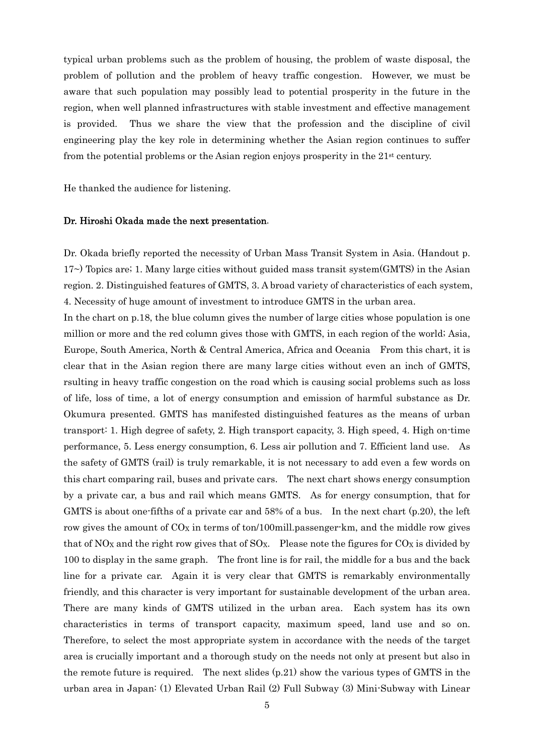typical urban problems such as the problem of housing, the problem of waste disposal, the problem of pollution and the problem of heavy traffic congestion. However, we must be aware that such population may possibly lead to potential prosperity in the future in the region, when well planned infrastructures with stable investment and effective management is provided. Thus we share the view that the profession and the discipline of civil engineering play the key role in determining whether the Asian region continues to suffer from the potential problems or the Asian region enjoys prosperity in the 21st century.

He thanked the audience for listening.

#### Dr. Hiroshi Okada made the next presentation.

Dr. Okada briefly reported the necessity of Urban Mass Transit System in Asia. (Handout p. 17~) Topics are; 1. Many large cities without guided mass transit system(GMTS) in the Asian region. 2. Distinguished features of GMTS, 3. A broad variety of characteristics of each system, 4. Necessity of huge amount of investment to introduce GMTS in the urban area.

In the chart on p.18, the blue column gives the number of large cities whose population is one million or more and the red column gives those with GMTS, in each region of the world; Asia, Europe, South America, North & Central America, Africa and Oceania From this chart, it is clear that in the Asian region there are many large cities without even an inch of GMTS, rsulting in heavy traffic congestion on the road which is causing social problems such as loss of life, loss of time, a lot of energy consumption and emission of harmful substance as Dr. Okumura presented. GMTS has manifested distinguished features as the means of urban transport: 1. High degree of safety, 2. High transport capacity, 3. High speed, 4. High on-time performance, 5. Less energy consumption, 6. Less air pollution and 7. Efficient land use. As the safety of GMTS (rail) is truly remarkable, it is not necessary to add even a few words on this chart comparing rail, buses and private cars. The next chart shows energy consumption by a private car, a bus and rail which means GMTS. As for energy consumption, that for GMTS is about one-fifths of a private car and  $58\%$  of a bus. In the next chart (p.20), the left row gives the amount of CO<sub>X</sub> in terms of ton/100mill.passenger-km, and the middle row gives that of NO<sub>X</sub> and the right row gives that of SO<sub>X</sub>. Please note the figures for  $CO<sub>X</sub>$  is divided by 100 to display in the same graph. The front line is for rail, the middle for a bus and the back line for a private car. Again it is very clear that GMTS is remarkably environmentally friendly, and this character is very important for sustainable development of the urban area. There are many kinds of GMTS utilized in the urban area. Each system has its own characteristics in terms of transport capacity, maximum speed, land use and so on. Therefore, to select the most appropriate system in accordance with the needs of the target area is crucially important and a thorough study on the needs not only at present but also in the remote future is required. The next slides (p.21) show the various types of GMTS in the urban area in Japan: (1) Elevated Urban Rail (2) Full Subway (3) Mini-Subway with Linear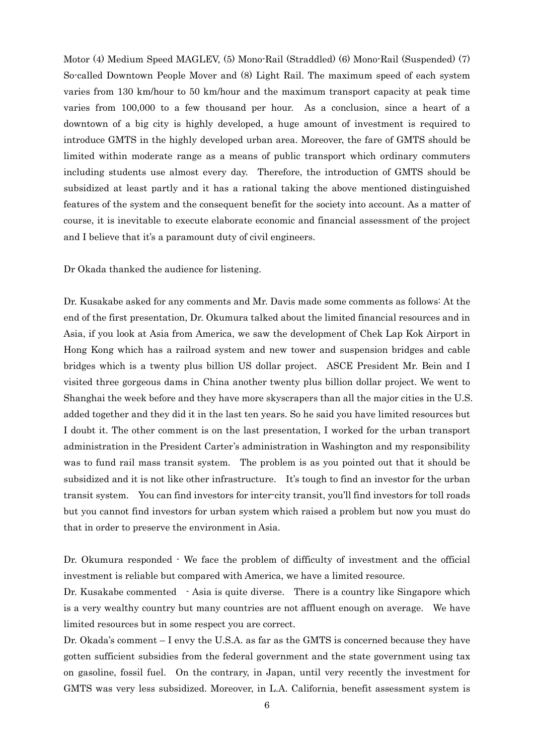Motor (4) Medium Speed MAGLEV, (5) Mono-Rail (Straddled) (6) Mono-Rail (Suspended) (7) So-called Downtown People Mover and (8) Light Rail. The maximum speed of each system varies from 130 km/hour to 50 km/hour and the maximum transport capacity at peak time varies from 100,000 to a few thousand per hour. As a conclusion, since a heart of a downtown of a big city is highly developed, a huge amount of investment is required to introduce GMTS in the highly developed urban area. Moreover, the fare of GMTS should be limited within moderate range as a means of public transport which ordinary commuters including students use almost every day. Therefore, the introduction of GMTS should be subsidized at least partly and it has a rational taking the above mentioned distinguished features of the system and the consequent benefit for the society into account. As a matter of course, it is inevitable to execute elaborate economic and financial assessment of the project and I believe that it's a paramount duty of civil engineers.

Dr Okada thanked the audience for listening.

Dr. Kusakabe asked for any comments and Mr. Davis made some comments as follows: At the end of the first presentation, Dr. Okumura talked about the limited financial resources and in Asia, if you look at Asia from America, we saw the development of Chek Lap Kok Airport in Hong Kong which has a railroad system and new tower and suspension bridges and cable bridges which is a twenty plus billion US dollar project. ASCE President Mr. Bein and I visited three gorgeous dams in China another twenty plus billion dollar project. We went to Shanghai the week before and they have more skyscrapers than all the major cities in the U.S. added together and they did it in the last ten years. So he said you have limited resources but I doubt it. The other comment is on the last presentation, I worked for the urban transport administration in the President Carter's administration in Washington and my responsibility was to fund rail mass transit system. The problem is as you pointed out that it should be subsidized and it is not like other infrastructure. It's tough to find an investor for the urban transit system. You can find investors for inter-city transit, you'll find investors for toll roads but you cannot find investors for urban system which raised a problem but now you must do that in order to preserve the environment in Asia.

Dr. Okumura responded - We face the problem of difficulty of investment and the official investment is reliable but compared with America, we have a limited resource.

Dr. Kusakabe commented - Asia is quite diverse. There is a country like Singapore which is a very wealthy country but many countries are not affluent enough on average. We have limited resources but in some respect you are correct.

Dr. Okada's comment – I envy the U.S.A. as far as the GMTS is concerned because they have gotten sufficient subsidies from the federal government and the state government using tax on gasoline, fossil fuel. On the contrary, in Japan, until very recently the investment for GMTS was very less subsidized. Moreover, in L.A. California, benefit assessment system is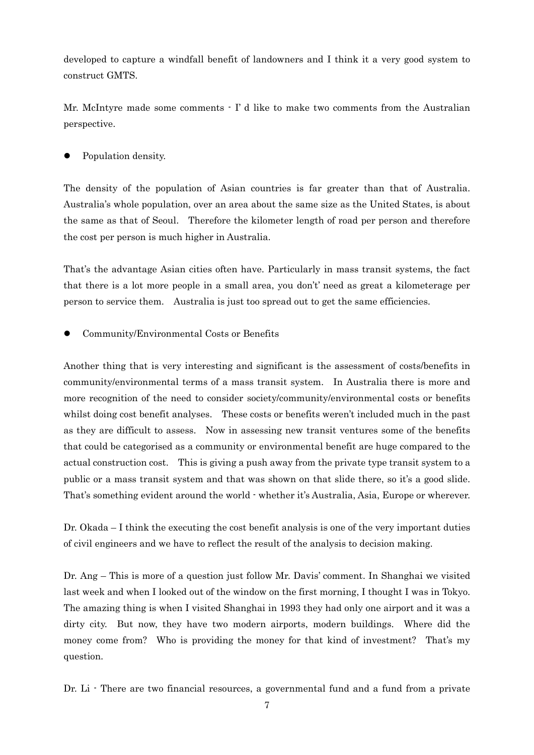developed to capture a windfall benefit of landowners and I think it a very good system to construct GMTS.

Mr. McIntyre made some comments  $\cdot$  I' d like to make two comments from the Australian perspective.

Population density.

The density of the population of Asian countries is far greater than that of Australia. Australia's whole population, over an area about the same size as the United States, is about the same as that of Seoul. Therefore the kilometer length of road per person and therefore the cost per person is much higher in Australia.

That's the advantage Asian cities often have. Particularly in mass transit systems, the fact that there is a lot more people in a small area, you don't' need as great a kilometerage per person to service them. Australia is just too spread out to get the same efficiencies.

Community/Environmental Costs or Benefits

Another thing that is very interesting and significant is the assessment of costs/benefits in community/environmental terms of a mass transit system. In Australia there is more and more recognition of the need to consider society/community/environmental costs or benefits whilst doing cost benefit analyses. These costs or benefits weren't included much in the past as they are difficult to assess. Now in assessing new transit ventures some of the benefits that could be categorised as a community or environmental benefit are huge compared to the actual construction cost. This is giving a push away from the private type transit system to a public or a mass transit system and that was shown on that slide there, so it's a good slide. That's something evident around the world - whether it's Australia, Asia, Europe or wherever.

Dr. Okada – I think the executing the cost benefit analysis is one of the very important duties of civil engineers and we have to reflect the result of the analysis to decision making.

Dr. Ang – This is more of a question just follow Mr. Davis' comment. In Shanghai we visited last week and when I looked out of the window on the first morning, I thought I was in Tokyo. The amazing thing is when I visited Shanghai in 1993 they had only one airport and it was a dirty city. But now, they have two modern airports, modern buildings. Where did the money come from? Who is providing the money for that kind of investment? That's my question.

Dr. Li  $\cdot$  There are two financial resources, a governmental fund and a fund from a private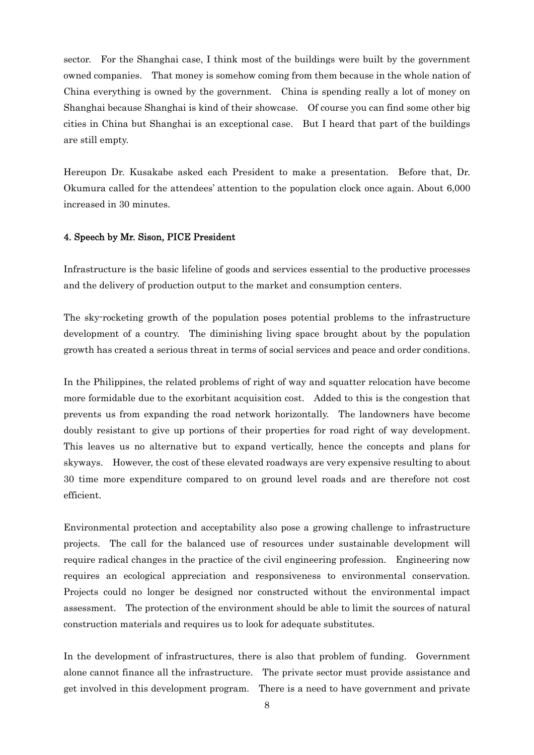sector. For the Shanghai case, I think most of the buildings were built by the government owned companies. That money is somehow coming from them because in the whole nation of China everything is owned by the government. China is spending really a lot of money on Shanghai because Shanghai is kind of their showcase. Of course you can find some other big cities in China but Shanghai is an exceptional case. But I heard that part of the buildings are still empty.

Hereupon Dr. Kusakabe asked each President to make a presentation. Before that, Dr. Okumura called for the attendees' attention to the population clock once again. About 6,000 increased in 30 minutes.

#### 4. Speech by Mr. Sison, PICE President

Infrastructure is the basic lifeline of goods and services essential to the productive processes and the delivery of production output to the market and consumption centers.

The sky-rocketing growth of the population poses potential problems to the infrastructure development of a country. The diminishing living space brought about by the population growth has created a serious threat in terms of social services and peace and order conditions.

In the Philippines, the related problems of right of way and squatter relocation have become more formidable due to the exorbitant acquisition cost. Added to this is the congestion that prevents us from expanding the road network horizontally. The landowners have become doubly resistant to give up portions of their properties for road right of way development. This leaves us no alternative but to expand vertically, hence the concepts and plans for skyways. However, the cost of these elevated roadways are very expensive resulting to about 30 time more expenditure compared to on ground level roads and are therefore not cost efficient.

Environmental protection and acceptability also pose a growing challenge to infrastructure projects. The call for the balanced use of resources under sustainable development will require radical changes in the practice of the civil engineering profession. Engineering now requires an ecological appreciation and responsiveness to environmental conservation. Projects could no longer be designed nor constructed without the environmental impact assessment. The protection of the environment should be able to limit the sources of natural construction materials and requires us to look for adequate substitutes.

In the development of infrastructures, there is also that problem of funding. Government alone cannot finance all the infrastructure. The private sector must provide assistance and get involved in this development program. There is a need to have government and private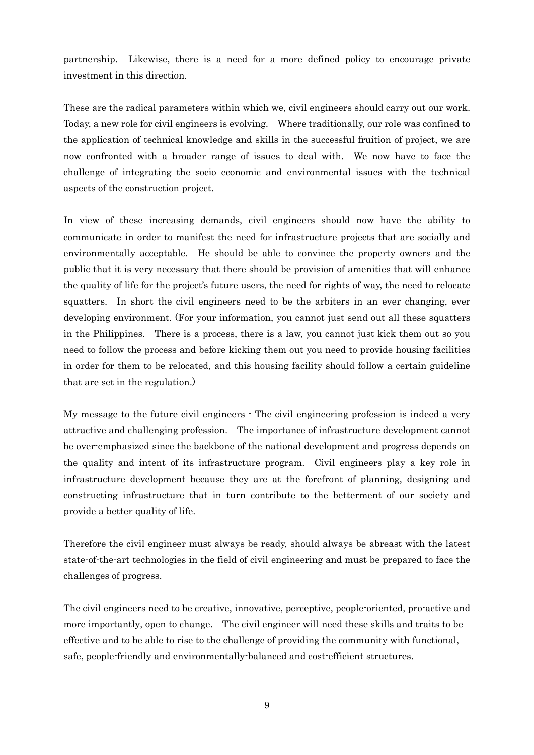partnership. Likewise, there is a need for a more defined policy to encourage private investment in this direction.

These are the radical parameters within which we, civil engineers should carry out our work. Today, a new role for civil engineers is evolving. Where traditionally, our role was confined to the application of technical knowledge and skills in the successful fruition of project, we are now confronted with a broader range of issues to deal with. We now have to face the challenge of integrating the socio economic and environmental issues with the technical aspects of the construction project.

In view of these increasing demands, civil engineers should now have the ability to communicate in order to manifest the need for infrastructure projects that are socially and environmentally acceptable. He should be able to convince the property owners and the public that it is very necessary that there should be provision of amenities that will enhance the quality of life for the project's future users, the need for rights of way, the need to relocate squatters. In short the civil engineers need to be the arbiters in an ever changing, ever developing environment. (For your information, you cannot just send out all these squatters in the Philippines. There is a process, there is a law, you cannot just kick them out so you need to follow the process and before kicking them out you need to provide housing facilities in order for them to be relocated, and this housing facility should follow a certain guideline that are set in the regulation.)

My message to the future civil engineers - The civil engineering profession is indeed a very attractive and challenging profession. The importance of infrastructure development cannot be over-emphasized since the backbone of the national development and progress depends on the quality and intent of its infrastructure program. Civil engineers play a key role in infrastructure development because they are at the forefront of planning, designing and constructing infrastructure that in turn contribute to the betterment of our society and provide a better quality of life.

Therefore the civil engineer must always be ready, should always be abreast with the latest state-of-the-art technologies in the field of civil engineering and must be prepared to face the challenges of progress.

The civil engineers need to be creative, innovative, perceptive, people-oriented, pro-active and more importantly, open to change. The civil engineer will need these skills and traits to be effective and to be able to rise to the challenge of providing the community with functional, safe, people-friendly and environmentally-balanced and cost-efficient structures.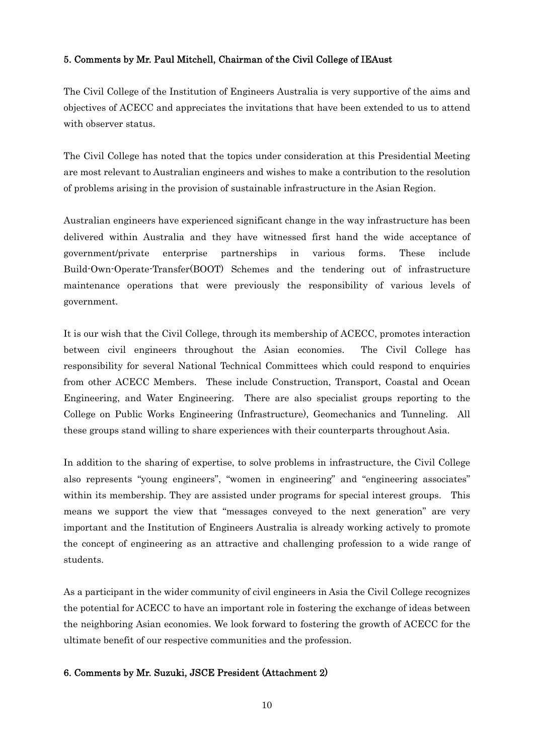### 5. Comments by Mr. Paul Mitchell, Chairman of the Civil College of IEAust

The Civil College of the Institution of Engineers Australia is very supportive of the aims and objectives of ACECC and appreciates the invitations that have been extended to us to attend with observer status.

The Civil College has noted that the topics under consideration at this Presidential Meeting are most relevant to Australian engineers and wishes to make a contribution to the resolution of problems arising in the provision of sustainable infrastructure in the Asian Region.

Australian engineers have experienced significant change in the way infrastructure has been delivered within Australia and they have witnessed first hand the wide acceptance of government/private enterprise partnerships in various forms. These include Build-Own-Operate-Transfer(BOOT) Schemes and the tendering out of infrastructure maintenance operations that were previously the responsibility of various levels of government.

It is our wish that the Civil College, through its membership of ACECC, promotes interaction between civil engineers throughout the Asian economies. The Civil College has responsibility for several National Technical Committees which could respond to enquiries from other ACECC Members. These include Construction, Transport, Coastal and Ocean Engineering, and Water Engineering. There are also specialist groups reporting to the College on Public Works Engineering (Infrastructure), Geomechanics and Tunneling. All these groups stand willing to share experiences with their counterparts throughout Asia.

In addition to the sharing of expertise, to solve problems in infrastructure, the Civil College also represents "young engineers", "women in engineering" and "engineering associates" within its membership. They are assisted under programs for special interest groups. This means we support the view that "messages conveyed to the next generation" are very important and the Institution of Engineers Australia is already working actively to promote the concept of engineering as an attractive and challenging profession to a wide range of students.

As a participant in the wider community of civil engineers in Asia the Civil College recognizes the potential for ACECC to have an important role in fostering the exchange of ideas between the neighboring Asian economies. We look forward to fostering the growth of ACECC for the ultimate benefit of our respective communities and the profession.

## 6. Comments by Mr. Suzuki, JSCE President (Attachment 2)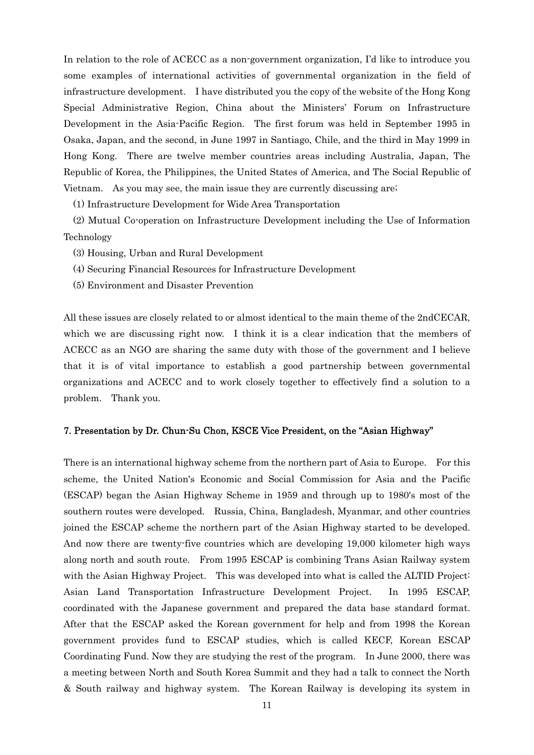In relation to the role of ACECC as a non-government organization, I'd like to introduce you some examples of international activities of governmental organization in the field of infrastructure development. I have distributed you the copy of the website of the Hong Kong Special Administrative Region, China about the Ministers' Forum on Infrastructure Development in the Asia-Pacific Region. The first forum was held in September 1995 in Osaka, Japan, and the second, in June 1997 in Santiago, Chile, and the third in May 1999 in Hong Kong. There are twelve member countries areas including Australia, Japan, The Republic of Korea, the Philippines, the United States of America, and The Social Republic of Vietnam. As you may see, the main issue they are currently discussing are;

(1) Infrastructure Development for Wide Area Transportation

 (2) Mutual Co-operation on Infrastructure Development including the Use of Information Technology

(3) Housing, Urban and Rural Development

- (4) Securing Financial Resources for Infrastructure Development
- (5) Environment and Disaster Prevention

All these issues are closely related to or almost identical to the main theme of the 2ndCECAR, which we are discussing right now. I think it is a clear indication that the members of ACECC as an NGO are sharing the same duty with those of the government and I believe that it is of vital importance to establish a good partnership between governmental organizations and ACECC and to work closely together to effectively find a solution to a problem. Thank you.

#### 7. Presentation by Dr. Chun-Su Chon, KSCE Vice President, on the "Asian Highway"

There is an international highway scheme from the northern part of Asia to Europe. For this scheme, the United Nation's Economic and Social Commission for Asia and the Pacific (ESCAP) began the Asian Highway Scheme in 1959 and through up to 1980's most of the southern routes were developed. Russia, China, Bangladesh, Myanmar, and other countries joined the ESCAP scheme the northern part of the Asian Highway started to be developed. And now there are twenty-five countries which are developing 19,000 kilometer high ways along north and south route. From 1995 ESCAP is combining Trans Asian Railway system with the Asian Highway Project. This was developed into what is called the ALTID Project: Asian Land Transportation Infrastructure Development Project. In 1995 ESCAP, coordinated with the Japanese government and prepared the data base standard format. After that the ESCAP asked the Korean government for help and from 1998 the Korean government provides fund to ESCAP studies, which is called KECF, Korean ESCAP Coordinating Fund. Now they are studying the rest of the program. In June 2000, there was a meeting between North and South Korea Summit and they had a talk to connect the North & South railway and highway system. The Korean Railway is developing its system in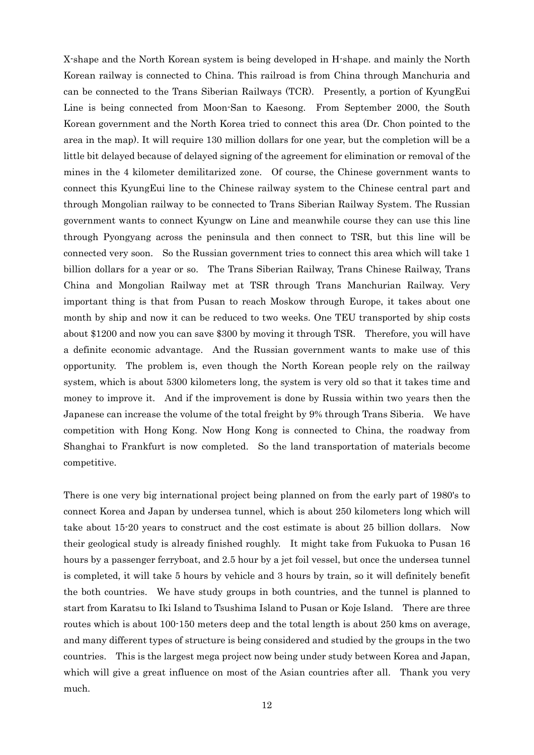X-shape and the North Korean system is being developed in H-shape. and mainly the North Korean railway is connected to China. This railroad is from China through Manchuria and can be connected to the Trans Siberian Railways (TCR). Presently, a portion of KyungEui Line is being connected from Moon-San to Kaesong. From September 2000, the South Korean government and the North Korea tried to connect this area (Dr. Chon pointed to the area in the map). It will require 130 million dollars for one year, but the completion will be a little bit delayed because of delayed signing of the agreement for elimination or removal of the mines in the 4 kilometer demilitarized zone. Of course, the Chinese government wants to connect this KyungEui line to the Chinese railway system to the Chinese central part and through Mongolian railway to be connected to Trans Siberian Railway System. The Russian government wants to connect Kyungw on Line and meanwhile course they can use this line through Pyongyang across the peninsula and then connect to TSR, but this line will be connected very soon. So the Russian government tries to connect this area which will take 1 billion dollars for a year or so. The Trans Siberian Railway, Trans Chinese Railway, Trans China and Mongolian Railway met at TSR through Trans Manchurian Railway. Very important thing is that from Pusan to reach Moskow through Europe, it takes about one month by ship and now it can be reduced to two weeks. One TEU transported by ship costs about \$1200 and now you can save \$300 by moving it through TSR. Therefore, you will have a definite economic advantage. And the Russian government wants to make use of this opportunity. The problem is, even though the North Korean people rely on the railway system, which is about 5300 kilometers long, the system is very old so that it takes time and money to improve it. And if the improvement is done by Russia within two years then the Japanese can increase the volume of the total freight by 9% through Trans Siberia. We have competition with Hong Kong. Now Hong Kong is connected to China, the roadway from Shanghai to Frankfurt is now completed. So the land transportation of materials become competitive.

There is one very big international project being planned on from the early part of 1980's to connect Korea and Japan by undersea tunnel, which is about 250 kilometers long which will take about 15-20 years to construct and the cost estimate is about 25 billion dollars. Now their geological study is already finished roughly. It might take from Fukuoka to Pusan 16 hours by a passenger ferryboat, and 2.5 hour by a jet foil vessel, but once the undersea tunnel is completed, it will take 5 hours by vehicle and 3 hours by train, so it will definitely benefit the both countries. We have study groups in both countries, and the tunnel is planned to start from Karatsu to Iki Island to Tsushima Island to Pusan or Koje Island. There are three routes which is about 100-150 meters deep and the total length is about 250 kms on average, and many different types of structure is being considered and studied by the groups in the two countries. This is the largest mega project now being under study between Korea and Japan, which will give a great influence on most of the Asian countries after all. Thank you very much.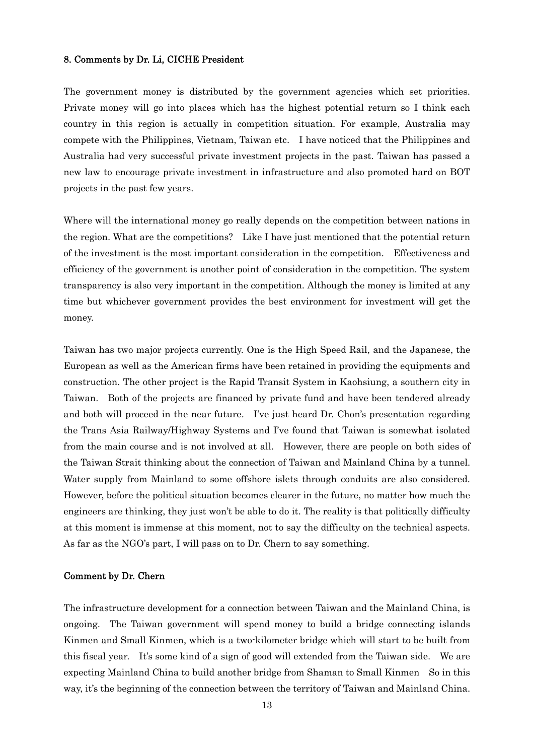#### 8. Comments by Dr. Li, CICHE President

The government money is distributed by the government agencies which set priorities. Private money will go into places which has the highest potential return so I think each country in this region is actually in competition situation. For example, Australia may compete with the Philippines, Vietnam, Taiwan etc. I have noticed that the Philippines and Australia had very successful private investment projects in the past. Taiwan has passed a new law to encourage private investment in infrastructure and also promoted hard on BOT projects in the past few years.

Where will the international money go really depends on the competition between nations in the region. What are the competitions? Like I have just mentioned that the potential return of the investment is the most important consideration in the competition. Effectiveness and efficiency of the government is another point of consideration in the competition. The system transparency is also very important in the competition. Although the money is limited at any time but whichever government provides the best environment for investment will get the money.

Taiwan has two major projects currently. One is the High Speed Rail, and the Japanese, the European as well as the American firms have been retained in providing the equipments and construction. The other project is the Rapid Transit System in Kaohsiung, a southern city in Taiwan. Both of the projects are financed by private fund and have been tendered already and both will proceed in the near future. I've just heard Dr. Chon's presentation regarding the Trans Asia Railway/Highway Systems and I've found that Taiwan is somewhat isolated from the main course and is not involved at all. However, there are people on both sides of the Taiwan Strait thinking about the connection of Taiwan and Mainland China by a tunnel. Water supply from Mainland to some offshore islets through conduits are also considered. However, before the political situation becomes clearer in the future, no matter how much the engineers are thinking, they just won't be able to do it. The reality is that politically difficulty at this moment is immense at this moment, not to say the difficulty on the technical aspects. As far as the NGO's part, I will pass on to Dr. Chern to say something.

#### Comment by Dr. Chern

The infrastructure development for a connection between Taiwan and the Mainland China, is ongoing. The Taiwan government will spend money to build a bridge connecting islands Kinmen and Small Kinmen, which is a two-kilometer bridge which will start to be built from this fiscal year. It's some kind of a sign of good will extended from the Taiwan side. We are expecting Mainland China to build another bridge from Shaman to Small Kinmen So in this way, it's the beginning of the connection between the territory of Taiwan and Mainland China.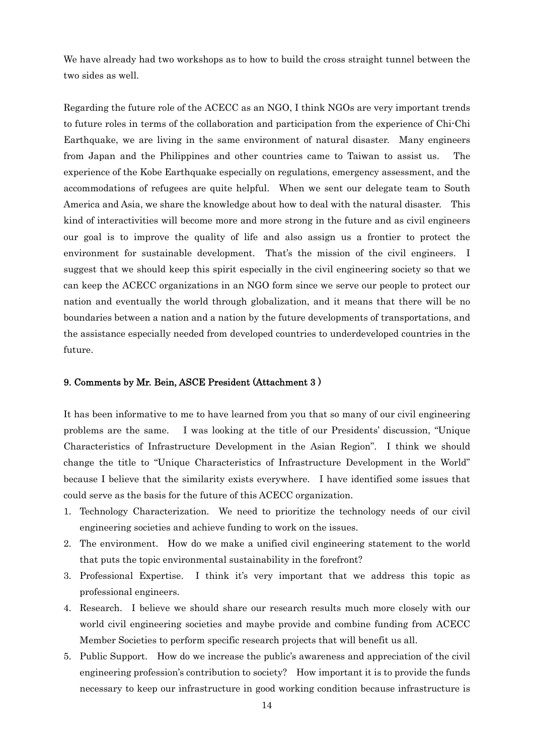We have already had two workshops as to how to build the cross straight tunnel between the two sides as well.

Regarding the future role of the ACECC as an NGO, I think NGOs are very important trends to future roles in terms of the collaboration and participation from the experience of Chi-Chi Earthquake, we are living in the same environment of natural disaster. Many engineers from Japan and the Philippines and other countries came to Taiwan to assist us. The experience of the Kobe Earthquake especially on regulations, emergency assessment, and the accommodations of refugees are quite helpful. When we sent our delegate team to South America and Asia, we share the knowledge about how to deal with the natural disaster. This kind of interactivities will become more and more strong in the future and as civil engineers our goal is to improve the quality of life and also assign us a frontier to protect the environment for sustainable development. That's the mission of the civil engineers. I suggest that we should keep this spirit especially in the civil engineering society so that we can keep the ACECC organizations in an NGO form since we serve our people to protect our nation and eventually the world through globalization, and it means that there will be no boundaries between a nation and a nation by the future developments of transportations, and the assistance especially needed from developed countries to underdeveloped countries in the future.

#### 9. Comments by Mr. Bein, ASCE President (Attachment 3 )

It has been informative to me to have learned from you that so many of our civil engineering problems are the same. I was looking at the title of our Presidents' discussion, "Unique Characteristics of Infrastructure Development in the Asian Region". I think we should change the title to "Unique Characteristics of Infrastructure Development in the World" because I believe that the similarity exists everywhere. I have identified some issues that could serve as the basis for the future of this ACECC organization.

- 1. Technology Characterization. We need to prioritize the technology needs of our civil engineering societies and achieve funding to work on the issues.
- 2. The environment. How do we make a unified civil engineering statement to the world that puts the topic environmental sustainability in the forefront?
- 3. Professional Expertise. I think it's very important that we address this topic as professional engineers.
- 4. Research. I believe we should share our research results much more closely with our world civil engineering societies and maybe provide and combine funding from ACECC Member Societies to perform specific research projects that will benefit us all.
- 5. Public Support. How do we increase the public's awareness and appreciation of the civil engineering profession's contribution to society? How important it is to provide the funds necessary to keep our infrastructure in good working condition because infrastructure is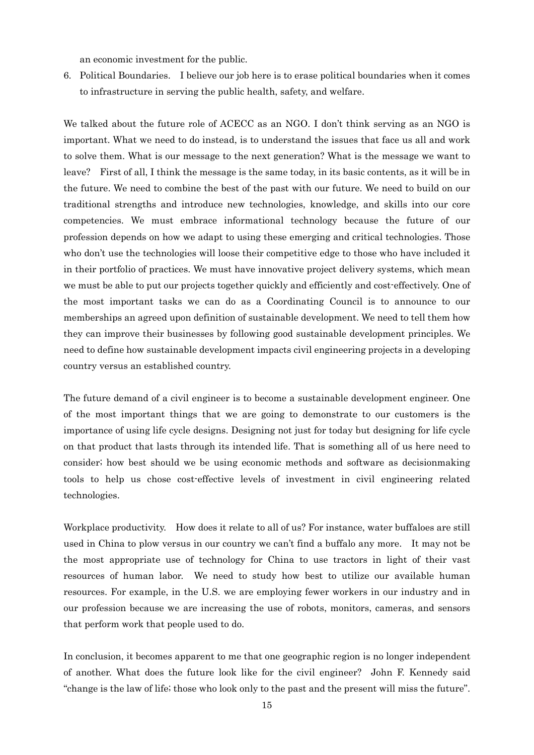an economic investment for the public.

6. Political Boundaries. I believe our job here is to erase political boundaries when it comes to infrastructure in serving the public health, safety, and welfare.

We talked about the future role of ACECC as an NGO. I don't think serving as an NGO is important. What we need to do instead, is to understand the issues that face us all and work to solve them. What is our message to the next generation? What is the message we want to leave? First of all, I think the message is the same today, in its basic contents, as it will be in the future. We need to combine the best of the past with our future. We need to build on our traditional strengths and introduce new technologies, knowledge, and skills into our core competencies. We must embrace informational technology because the future of our profession depends on how we adapt to using these emerging and critical technologies. Those who don't use the technologies will loose their competitive edge to those who have included it in their portfolio of practices. We must have innovative project delivery systems, which mean we must be able to put our projects together quickly and efficiently and cost-effectively. One of the most important tasks we can do as a Coordinating Council is to announce to our memberships an agreed upon definition of sustainable development. We need to tell them how they can improve their businesses by following good sustainable development principles. We need to define how sustainable development impacts civil engineering projects in a developing country versus an established country.

The future demand of a civil engineer is to become a sustainable development engineer. One of the most important things that we are going to demonstrate to our customers is the importance of using life cycle designs. Designing not just for today but designing for life cycle on that product that lasts through its intended life. That is something all of us here need to consider; how best should we be using economic methods and software as decisionmaking tools to help us chose cost-effective levels of investment in civil engineering related technologies.

Workplace productivity. How does it relate to all of us? For instance, water buffaloes are still used in China to plow versus in our country we can't find a buffalo any more. It may not be the most appropriate use of technology for China to use tractors in light of their vast resources of human labor. We need to study how best to utilize our available human resources. For example, in the U.S. we are employing fewer workers in our industry and in our profession because we are increasing the use of robots, monitors, cameras, and sensors that perform work that people used to do.

In conclusion, it becomes apparent to me that one geographic region is no longer independent of another. What does the future look like for the civil engineer? John F. Kennedy said "change is the law of life; those who look only to the past and the present will miss the future".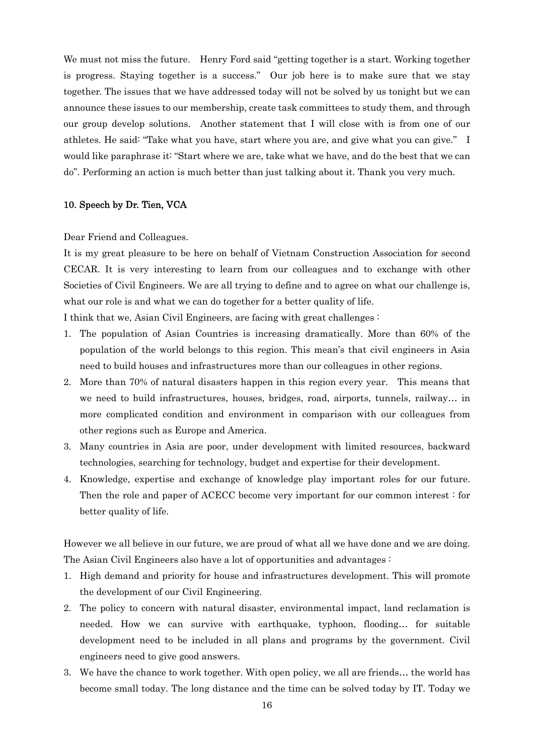We must not miss the future. Henry Ford said "getting together is a start. Working together is progress. Staying together is a success." Our job here is to make sure that we stay together. The issues that we have addressed today will not be solved by us tonight but we can announce these issues to our membership, create task committees to study them, and through our group develop solutions. Another statement that I will close with is from one of our athletes. He said: "Take what you have, start where you are, and give what you can give." I would like paraphrase it: "Start where we are, take what we have, and do the best that we can do". Performing an action is much better than just talking about it. Thank you very much.

#### 10. Speech by Dr. Tien, VCA

#### Dear Friend and Colleagues.

It is my great pleasure to be here on behalf of Vietnam Construction Association for second CECAR. It is very interesting to learn from our colleagues and to exchange with other Societies of Civil Engineers. We are all trying to define and to agree on what our challenge is, what our role is and what we can do together for a better quality of life.

I think that we, Asian Civil Engineers, are facing with great challenges :

- 1. The population of Asian Countries is increasing dramatically. More than 60% of the population of the world belongs to this region. This mean's that civil engineers in Asia need to build houses and infrastructures more than our colleagues in other regions.
- 2. More than 70% of natural disasters happen in this region every year. This means that we need to build infrastructures, houses, bridges, road, airports, tunnels, railway… in more complicated condition and environment in comparison with our colleagues from other regions such as Europe and America.
- 3. Many countries in Asia are poor, under development with limited resources, backward technologies, searching for technology, budget and expertise for their development.
- 4. Knowledge, expertise and exchange of knowledge play important roles for our future. Then the role and paper of ACECC become very important for our common interest : for better quality of life.

However we all believe in our future, we are proud of what all we have done and we are doing. The Asian Civil Engineers also have a lot of opportunities and advantages :

- 1. High demand and priority for house and infrastructures development. This will promote the development of our Civil Engineering.
- 2. The policy to concern with natural disaster, environmental impact, land reclamation is needed. How we can survive with earthquake, typhoon, flooding… for suitable development need to be included in all plans and programs by the government. Civil engineers need to give good answers.
- 3. We have the chance to work together. With open policy, we all are friends… the world has become small today. The long distance and the time can be solved today by IT. Today we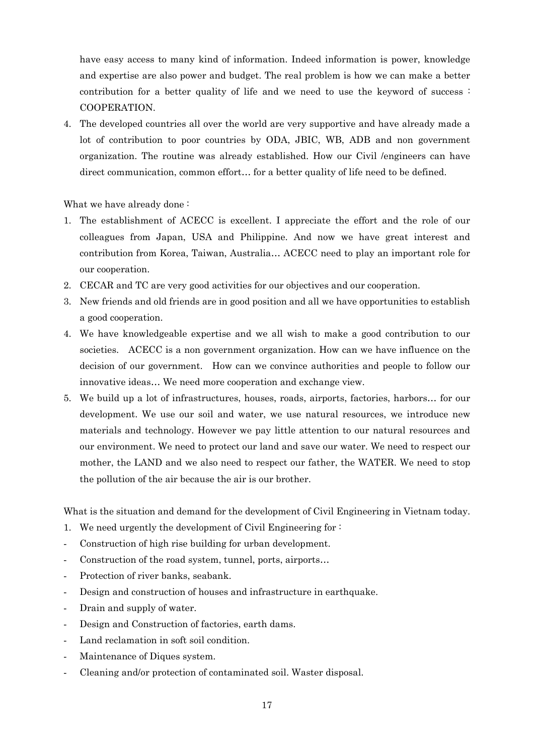have easy access to many kind of information. Indeed information is power, knowledge and expertise are also power and budget. The real problem is how we can make a better contribution for a better quality of life and we need to use the keyword of success : COOPERATION.

4. The developed countries all over the world are very supportive and have already made a lot of contribution to poor countries by ODA, JBIC, WB, ADB and non government organization. The routine was already established. How our Civil /engineers can have direct communication, common effort… for a better quality of life need to be defined.

What we have already done :

- 1. The establishment of ACECC is excellent. I appreciate the effort and the role of our colleagues from Japan, USA and Philippine. And now we have great interest and contribution from Korea, Taiwan, Australia… ACECC need to play an important role for our cooperation.
- 2. CECAR and TC are very good activities for our objectives and our cooperation.
- 3. New friends and old friends are in good position and all we have opportunities to establish a good cooperation.
- 4. We have knowledgeable expertise and we all wish to make a good contribution to our societies. ACECC is a non government organization. How can we have influence on the decision of our government. How can we convince authorities and people to follow our innovative ideas… We need more cooperation and exchange view.
- 5. We build up a lot of infrastructures, houses, roads, airports, factories, harbors… for our development. We use our soil and water, we use natural resources, we introduce new materials and technology. However we pay little attention to our natural resources and our environment. We need to protect our land and save our water. We need to respect our mother, the LAND and we also need to respect our father, the WATER. We need to stop the pollution of the air because the air is our brother.

What is the situation and demand for the development of Civil Engineering in Vietnam today.

- 1. We need urgently the development of Civil Engineering for :
- Construction of high rise building for urban development.
- Construction of the road system, tunnel, ports, airports...
- Protection of river banks, seabank.
- Design and construction of houses and infrastructure in earthquake.
- Drain and supply of water.
- Design and Construction of factories, earth dams.
- Land reclamation in soft soil condition.
- Maintenance of Diques system.
- Cleaning and/or protection of contaminated soil. Waster disposal.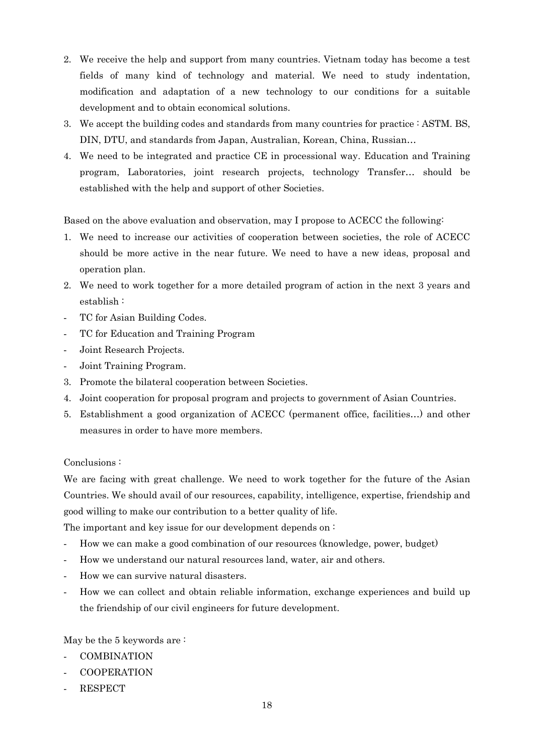- 2. We receive the help and support from many countries. Vietnam today has become a test fields of many kind of technology and material. We need to study indentation, modification and adaptation of a new technology to our conditions for a suitable development and to obtain economical solutions.
- 3. We accept the building codes and standards from many countries for practice : ASTM. BS, DIN, DTU, and standards from Japan, Australian, Korean, China, Russian…
- 4. We need to be integrated and practice CE in processional way. Education and Training program, Laboratories, joint research projects, technology Transfer… should be established with the help and support of other Societies.

Based on the above evaluation and observation, may I propose to ACECC the following:

- 1. We need to increase our activities of cooperation between societies, the role of ACECC should be more active in the near future. We need to have a new ideas, proposal and operation plan.
- 2. We need to work together for a more detailed program of action in the next 3 years and establish :
- TC for Asian Building Codes.
- TC for Education and Training Program
- Joint Research Projects.
- Joint Training Program.
- 3. Promote the bilateral cooperation between Societies.
- 4. Joint cooperation for proposal program and projects to government of Asian Countries.
- 5. Establishment a good organization of ACECC (permanent office, facilities…) and other measures in order to have more members.

## Conclusions :

We are facing with great challenge. We need to work together for the future of the Asian Countries. We should avail of our resources, capability, intelligence, expertise, friendship and good willing to make our contribution to a better quality of life.

The important and key issue for our development depends on:

- How we can make a good combination of our resources (knowledge, power, budget)
- How we understand our natural resources land, water, air and others.
- How we can survive natural disasters.
- How we can collect and obtain reliable information, exchange experiences and build up the friendship of our civil engineers for future development.

May be the 5 keywords are :

- COMBINATION
- COOPERATION
- **RESPECT**